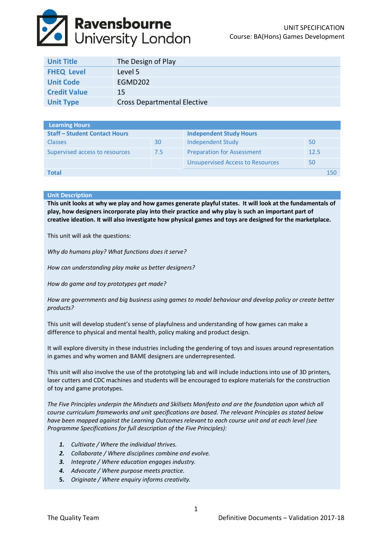# **Ravensbourne**<br>Duniversity London

| <b>Unit Title</b>   | The Design of Play                 |
|---------------------|------------------------------------|
| <b>FHEQ Level</b>   | Level 5                            |
| <b>Unit Code</b>    | EGMD202                            |
| <b>Credit Value</b> | 15                                 |
| <b>Unit Type</b>    | <b>Cross Departmental Elective</b> |

| <b>Learning Hours</b>                |     |                                         |      |     |
|--------------------------------------|-----|-----------------------------------------|------|-----|
| <b>Staff - Student Contact Hours</b> |     | <b>Independent Study Hours</b>          |      |     |
| <b>Classes</b>                       | 30  | <b>Independent Study</b>                | 50   |     |
| Supervised access to resources       | 7.5 | <b>Preparation for Assessment</b>       | 12.5 |     |
|                                      |     | <b>Unsupervised Access to Resources</b> | 50   |     |
| Total                                |     |                                         |      | 150 |

# **Unit Description**

**This unit looks at why we play and how games generate playful states. It will look at the fundamentals of play, how designers incorporate play into their practice and why play is such an important part of creative ideation. It will also investigate how physical games and toys are designed for the marketplace.**

This unit will ask the questions:

*Why do humans play? What functions does it serve?*

*How can understanding play make us better designers?*

*How do game and toy prototypes get made?* 

*How are governments and big business using games to model behaviour and develop policy or create better products?*

This unit will develop student's sense of playfulness and understanding of how games can make a difference to physical and mental health, policy making and product design.

It will explore diversity in these industries including the gendering of toys and issues around representation in games and why women and BAME designers are underrepresented.

This unit will also involve the use of the prototyping lab and will include inductions into use of 3D printers, laser cutters and CDC machines and students will be encouraged to explore materials for the construction of toy and game prototypes.

*The Five Principles underpin the Mindsets and Skillsets Manifesto and are the foundation upon which all course curriculum frameworks and unit specifications are based. The relevant Principles as stated below have been mapped against the Learning Outcomes relevant to each course unit and at each level (see Programme Specifications for full description of the Five Principles):*

- *1. Cultivate / Where the individual thrives.*
- *2. Collaborate / Where disciplines combine and evolve.*
- *3. Integrate / Where education engages industry.*
- *4. Advocate / Where purpose meets practice.*
- **5.** *Originate / Where enquiry informs creativity.*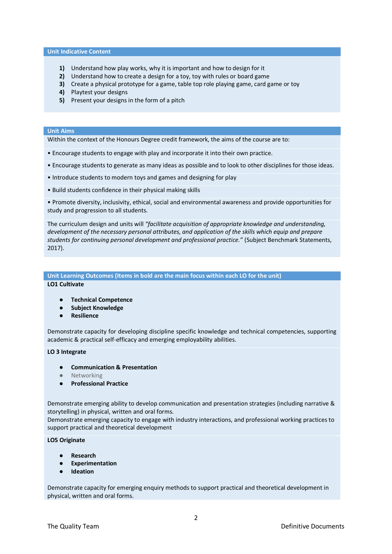# **Unit Indicative Content**

- **1)** Understand how play works, why it is important and how to design for it
- **2)** Understand how to create a design for a toy, toy with rules or board game
- **3)** Create a physical prototype for a game, table top role playing game, card game or toy
- **4)** Playtest your designs
- **5)** Present your designs in the form of a pitch

#### **Unit Aims**

Within the context of the Honours Degree credit framework, the aims of the course are to:

- Encourage students to engage with play and incorporate it into their own practice.
- Encourage students to generate as many ideas as possible and to look to other disciplines for those ideas.
- Introduce students to modern toys and games and designing for play
- Build students confidence in their physical making skills

• Promote diversity, inclusivity, ethical, social and environmental awareness and provide opportunities for study and progression to all students.

The curriculum design and units will *"facilitate acquisition of appropriate knowledge and understanding, development of the necessary personal attributes, and application of the skills which equip and prepare students for continuing personal development and professional practice."* (Subject Benchmark Statements, 2017).

# **Unit Learning Outcomes (Items in bold are the main focus within each LO for the unit)**

**LO1 Cultivate**

- **Technical Competence**
- **Subject Knowledge**
- **Resilience**

Demonstrate capacity for developing discipline specific knowledge and technical competencies, supporting academic & practical self-efficacy and emerging employability abilities.

#### **LO 3 Integrate**

- **Communication & Presentation**
- Networking
- **Professional Practice**

Demonstrate emerging ability to develop communication and presentation strategies (including narrative & storytelling) in physical, written and oral forms.

Demonstrate emerging capacity to engage with industry interactions, and professional working practices to support practical and theoretical development

# **LO5 Originate**

- **Research**
- **Experimentation**
- **Ideation**

Demonstrate capacity for emerging enquiry methods to support practical and theoretical development in physical, written and oral forms.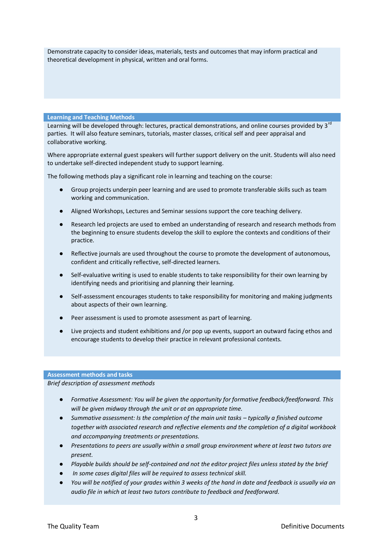Demonstrate capacity to consider ideas, materials, tests and outcomes that may inform practical and theoretical development in physical, written and oral forms.

# **Learning and Teaching Methods**

Learning will be developed through: lectures, practical demonstrations, and online courses provided by 3<sup>rd</sup> parties. It will also feature seminars, tutorials, master classes, critical self and peer appraisal and collaborative working.

Where appropriate external guest speakers will further support delivery on the unit. Students will also need to undertake self-directed independent study to support learning.

The following methods play a significant role in learning and teaching on the course:

- Group projects underpin peer learning and are used to promote transferable skills such as team working and communication.
- Aligned Workshops, Lectures and Seminar sessions support the core teaching delivery.
- Research led projects are used to embed an understanding of research and research methods from the beginning to ensure students develop the skill to explore the contexts and conditions of their practice.
- Reflective journals are used throughout the course to promote the development of autonomous, confident and critically reflective, self‐directed learners.
- Self-evaluative writing is used to enable students to take responsibility for their own learning by identifying needs and prioritising and planning their learning.
- Self-assessment encourages students to take responsibility for monitoring and making judgments about aspects of their own learning.
- Peer assessment is used to promote assessment as part of learning.
- Live projects and student exhibitions and /or pop up events, support an outward facing ethos and encourage students to develop their practice in relevant professional contexts.

#### **Assessment methods and tasks**

*Brief description of assessment methods*

- *Formative Assessment: You will be given the opportunity for formative feedback/feedforward. This will be given midway through the unit or at an appropriate time.*
- *Summative assessment: Is the completion of the main unit tasks typically a finished outcome together with associated research and reflective elements and the completion of a digital workbook and accompanying treatments or presentations.*
- *Presentations to peers are usually within a small group environment where at least two tutors are present.*
- *Playable builds should be self-contained and not the editor project files unless stated by the brief*
- In some cases digital files will be required to assess technical skill.
- *You will be notified of your grades within 3 weeks of the hand in date and feedback is usually via an audio file in which at least two tutors contribute to feedback and feedforward.*